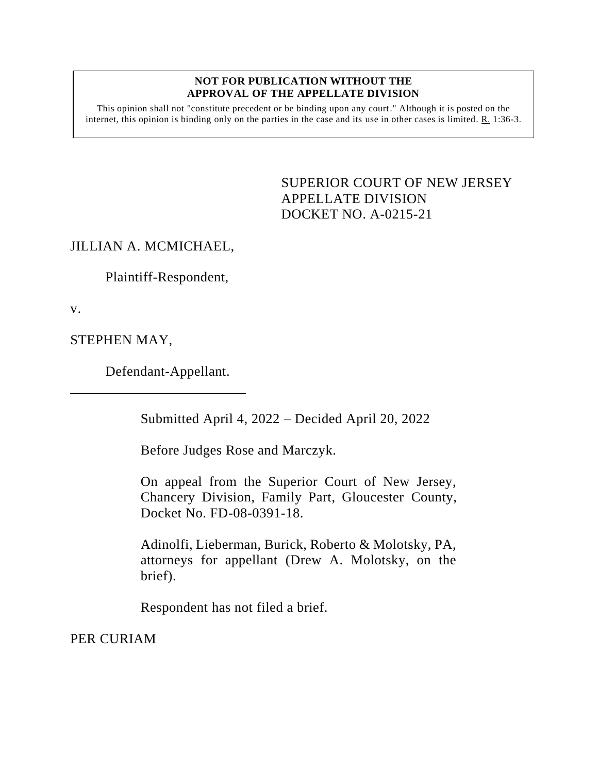## **NOT FOR PUBLICATION WITHOUT THE APPROVAL OF THE APPELLATE DIVISION**

This opinion shall not "constitute precedent or be binding upon any court." Although it is posted on the internet, this opinion is binding only on the parties in the case and its use in other cases is limited. R. 1:36-3.

> <span id="page-0-0"></span>SUPERIOR COURT OF NEW JERSEY APPELLATE DIVISION DOCKET NO. A-0215-21

## JILLIAN A. MCMICHAEL,

Plaintiff-Respondent,

v.

STEPHEN MAY,

Defendant-Appellant.

Submitted April 4, 2022 – Decided April 20, 2022

Before Judges Rose and Marczyk.

On appeal from the Superior Court of New Jersey, Chancery Division, Family Part, Gloucester County, Docket No. FD-08-0391-18.

Adinolfi, Lieberman, Burick, Roberto & Molotsky, PA, attorneys for appellant (Drew A. Molotsky, on the brief).

Respondent has not filed a brief.

PER CURIAM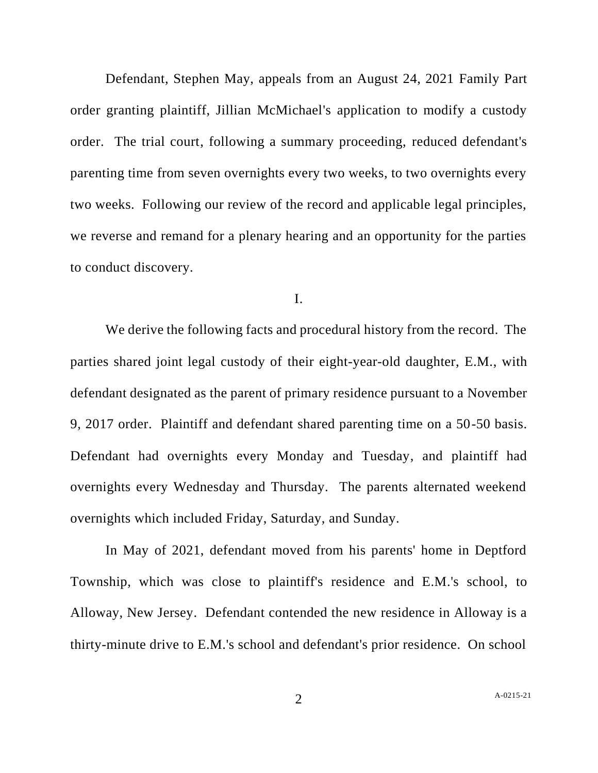Defendant, Stephen May, appeals from an August 24, 2021 Family Part order granting plaintiff, Jillian McMichael's application to modify a custody order. The trial court, following a summary proceeding, reduced defendant's parenting time from seven overnights every two weeks, to two overnights every two weeks. Following our review of the record and applicable legal principles, we reverse and remand for a plenary hearing and an opportunity for the parties to conduct discovery.

I.

We derive the following facts and procedural history from the record. The parties shared joint legal custody of their eight-year-old daughter, E.M., with defendant designated as the parent of primary residence pursuant to a November 9, 2017 order. Plaintiff and defendant shared parenting time on a 50-50 basis. Defendant had overnights every Monday and Tuesday, and plaintiff had overnights every Wednesday and Thursday. The parents alternated weekend overnights which included Friday, Saturday, and Sunday.

In May of 2021, defendant moved from his parents' home in Deptford Township, which was close to plaintiff's residence and E.M.'s school, to Alloway, New Jersey. Defendant contended the new residence in Alloway is a thirty-minute drive to E.M.'s school and defendant's prior residence. On school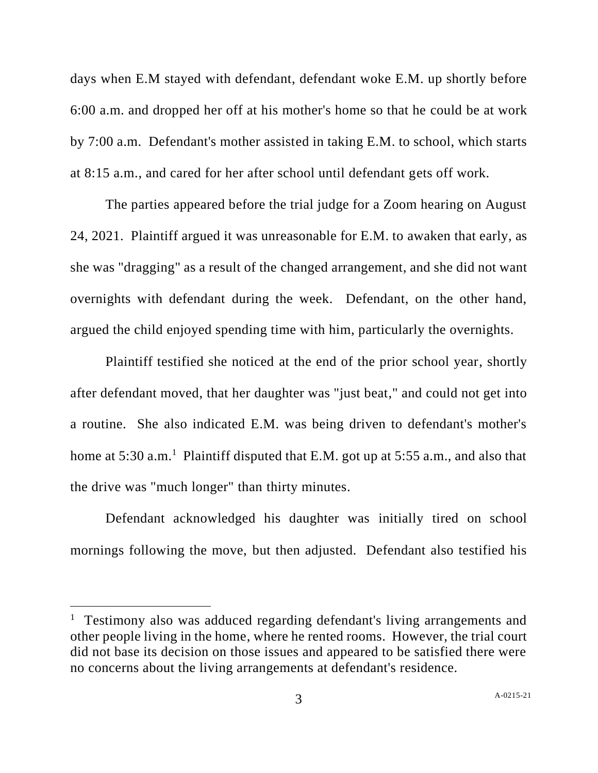days when E.M stayed with defendant, defendant woke E.M. up shortly before 6:00 a.m. and dropped her off at his mother's home so that he could be at work by 7:00 a.m. Defendant's mother assisted in taking E.M. to school, which starts at 8:15 a.m., and cared for her after school until defendant gets off work.

The parties appeared before the trial judge for a Zoom hearing on August 24, 2021. Plaintiff argued it was unreasonable for E.M. to awaken that early, as she was "dragging" as a result of the changed arrangement, and she did not want overnights with defendant during the week. Defendant, on the other hand, argued the child enjoyed spending time with him, particularly the overnights.

Plaintiff testified she noticed at the end of the prior school year, shortly after defendant moved, that her daughter was "just beat," and could not get into a routine. She also indicated E.M. was being driven to defendant's mother's home at 5:30 a.m.<sup>1</sup> Plaintiff disputed that E.M. got up at 5:55 a.m., and also that the drive was "much longer" than thirty minutes.

Defendant acknowledged his daughter was initially tired on school mornings following the move, but then adjusted. Defendant also testified his

<sup>&</sup>lt;sup>1</sup> Testimony also was adduced regarding defendant's living arrangements and other people living in the home, where he rented rooms. However, the trial court did not base its decision on those issues and appeared to be satisfied there were no concerns about the living arrangements at defendant's residence.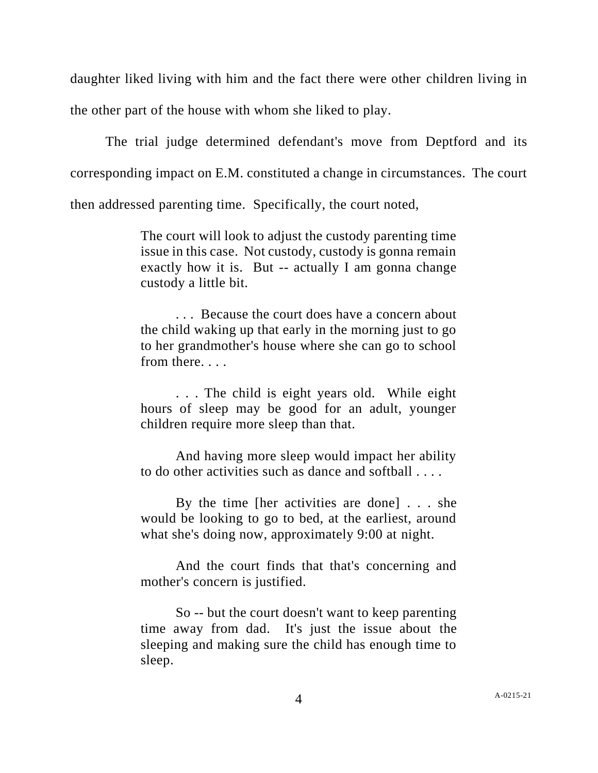daughter liked living with him and the fact there were other children living in the other part of the house with whom she liked to play.

The trial judge determined defendant's move from Deptford and its corresponding impact on E.M. constituted a change in circumstances. The court then addressed parenting time. Specifically, the court noted,

> The court will look to adjust the custody parenting time issue in this case. Not custody, custody is gonna remain exactly how it is. But -- actually I am gonna change custody a little bit.

> . . . Because the court does have a concern about the child waking up that early in the morning just to go to her grandmother's house where she can go to school from there. . . .

> . . . The child is eight years old. While eight hours of sleep may be good for an adult, younger children require more sleep than that.

> And having more sleep would impact her ability to do other activities such as dance and softball . . . .

> By the time [her activities are done] . . . she would be looking to go to bed, at the earliest, around what she's doing now, approximately 9:00 at night.

> And the court finds that that's concerning and mother's concern is justified.

> So -- but the court doesn't want to keep parenting time away from dad. It's just the issue about the sleeping and making sure the child has enough time to sleep.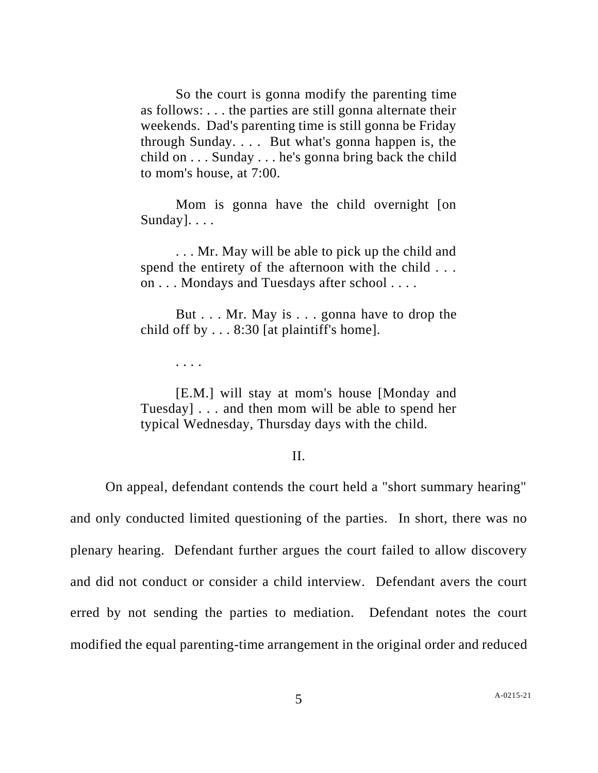So the court is gonna modify the parenting time as follows: . . . the parties are still gonna alternate their weekends. Dad's parenting time is still gonna be Friday through Sunday. . . . But what's gonna happen is, the child on . . . Sunday . . . he's gonna bring back the child to mom's house, at 7:00.

Mom is gonna have the child overnight [on Sunday]. . . .

. . . Mr. May will be able to pick up the child and spend the entirety of the afternoon with the child . . . on . . . Mondays and Tuesdays after school . . . .

But . . . Mr. May is . . . gonna have to drop the child off by . . . 8:30 [at plaintiff's home].

. . . .

[E.M.] will stay at mom's house [Monday and Tuesday] . . . and then mom will be able to spend her typical Wednesday, Thursday days with the child.

## II.

On appeal, defendant contends the court held a "short summary hearing"

and only conducted limited questioning of the parties. In short, there was no plenary hearing. Defendant further argues the court failed to allow discovery and did not conduct or consider a child interview. Defendant avers the court erred by not sending the parties to mediation. Defendant notes the court modified the equal parenting-time arrangement in the original order and reduced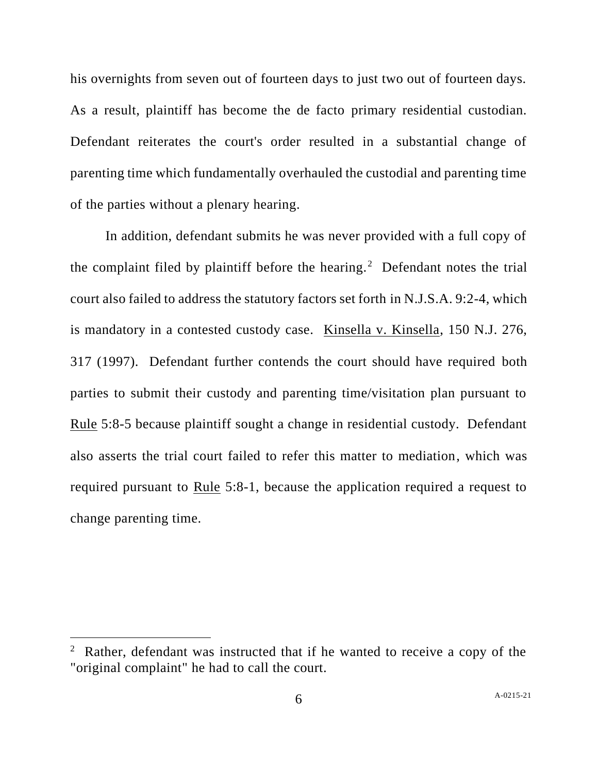his overnights from seven out of fourteen days to just two out of fourteen days. As a result, plaintiff has become the de facto primary residential custodian. Defendant reiterates the court's order resulted in a substantial change of parenting time which fundamentally overhauled the custodial and parenting time of the parties without a plenary hearing.

In addition, defendant submits he was never provided with a full copy of the complaint filed by plaintiff before the hearing.<sup>2</sup> Defendant notes the trial court also failed to address the statutory factors set forth in N.J.S.A. 9:2-4, which is mandatory in a contested custody case. Kinsella v. Kinsella, 150 N.J. 276, 317 (1997). Defendant further contends the court should have required both parties to submit their custody and parenting time/visitation plan pursuant to Rule 5:8-5 because plaintiff sought a change in residential custody. Defendant also asserts the trial court failed to refer this matter to mediation, which was required pursuant to Rule 5:8-1, because the application required a request to change parenting time.

<sup>&</sup>lt;sup>2</sup> Rather, defendant was instructed that if he wanted to receive a copy of the "original complaint" he had to call the court.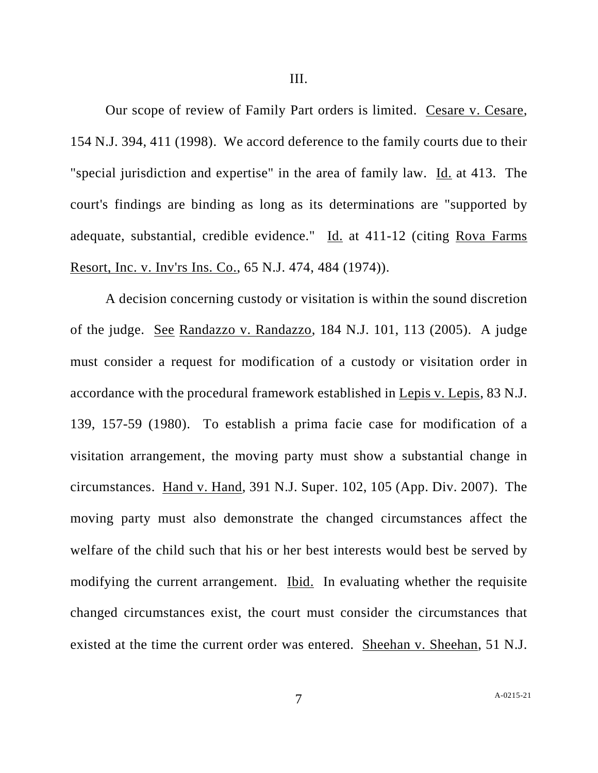III.

Our scope of review of Family Part orders is limited. Cesare v. [Cesare,](https://advance.lexis.com/document/teaserdocument/?pdmfid=1000516&crid=81b93f2f-d263-42d8-a981-f44206930250&pdteaserkey=h1&pditab=allpods&pddocfullpath=%2Fshared%2Fdocument%2Fcases%2Furn%3AcontentItem%3A5PWP-Y8M1-JPGX-S321-00000-00&ecomp=qzgpk&earg=sr0&prid=6284348a-8010-422a-8845-5055be576241) 154 N.J. 394, 411 [\(1998\).](https://advance.lexis.com/document/teaserdocument/?pdmfid=1000516&crid=81b93f2f-d263-42d8-a981-f44206930250&pdteaserkey=h1&pditab=allpods&pddocfullpath=%2Fshared%2Fdocument%2Fcases%2Furn%3AcontentItem%3A5PWP-Y8M1-JPGX-S321-00000-00&ecomp=qzgpk&earg=sr0&prid=6284348a-8010-422a-8845-5055be576241) We accord deference to the family courts due to their "special jurisdiction and expertise" in the area of family law. Id. at [413.](https://advance.lexis.com/document/teaserdocument/?pdmfid=1000516&crid=81b93f2f-d263-42d8-a981-f44206930250&pdteaserkey=h1&pditab=allpods&pddocfullpath=%2Fshared%2Fdocument%2Fcases%2Furn%3AcontentItem%3A5PWP-Y8M1-JPGX-S321-00000-00&ecomp=qzgpk&earg=sr0&prid=6284348a-8010-422a-8845-5055be576241) The court's findings are binding as long as its determinations are "supported by adequate, substantial, credible evidence." Id. at [411-12](https://advance.lexis.com/document/teaserdocument/?pdmfid=1000516&crid=81b93f2f-d263-42d8-a981-f44206930250&pdteaserkey=h1&pditab=allpods&pddocfullpath=%2Fshared%2Fdocument%2Fcases%2Furn%3AcontentItem%3A5PWP-Y8M1-JPGX-S321-00000-00&ecomp=qzgpk&earg=sr0&prid=6284348a-8010-422a-8845-5055be576241) (citing Rova [Farms](https://advance.lexis.com/document/teaserdocument/?pdmfid=1000516&crid=81b93f2f-d263-42d8-a981-f44206930250&pdteaserkey=h1&pditab=allpods&pddocfullpath=%2Fshared%2Fdocument%2Fcases%2Furn%3AcontentItem%3A5PWP-Y8M1-JPGX-S321-00000-00&ecomp=qzgpk&earg=sr0&prid=6284348a-8010-422a-8845-5055be576241) Resort, Inc. v. Inv'rs Ins. Co., 65 N.J. 474, 484 [\(1974\)\).](https://advance.lexis.com/document/teaserdocument/?pdmfid=1000516&crid=81b93f2f-d263-42d8-a981-f44206930250&pdteaserkey=h1&pditab=allpods&pddocfullpath=%2Fshared%2Fdocument%2Fcases%2Furn%3AcontentItem%3A5PWP-Y8M1-JPGX-S321-00000-00&ecomp=qzgpk&earg=sr0&prid=6284348a-8010-422a-8845-5055be576241)

A decision concerning custody or visitation is within the sound discretion of the judge. See Randazzo v. [Randazzo,](https://advance.lexis.com/document/teaserdocument/?pdmfid=1000516&crid=81b93f2f-d263-42d8-a981-f44206930250&pdteaserkey=h1&pditab=allpods&pddocfullpath=%2Fshared%2Fdocument%2Fcases%2Furn%3AcontentItem%3A5PWP-Y8M1-JPGX-S321-00000-00&ecomp=qzgpk&earg=sr0&prid=6284348a-8010-422a-8845-5055be576241) 184 N.J. 101, 113 (2005). A judge must consider a request for modification of a custody or visitation order in accordance with the procedural framework established in Lepis v. [Lepis,](https://advance.lexis.com/document/teaserdocument/?pdmfid=1000516&crid=81b93f2f-d263-42d8-a981-f44206930250&pdteaserkey=h1&pditab=allpods&pddocfullpath=%2Fshared%2Fdocument%2Fcases%2Furn%3AcontentItem%3A5PWP-Y8M1-JPGX-S321-00000-00&ecomp=qzgpk&earg=sr0&prid=6284348a-8010-422a-8845-5055be576241) 83 N.J. 139, 157-59 [\(1980\).](https://advance.lexis.com/document/teaserdocument/?pdmfid=1000516&crid=81b93f2f-d263-42d8-a981-f44206930250&pdteaserkey=h1&pditab=allpods&pddocfullpath=%2Fshared%2Fdocument%2Fcases%2Furn%3AcontentItem%3A5PWP-Y8M1-JPGX-S321-00000-00&ecomp=qzgpk&earg=sr0&prid=6284348a-8010-422a-8845-5055be576241) To establish a prima facie case for modification of a visitation arrangement, the moving party must show a substantial change in circumstances. Hand v. Hand, 391 N.J. [Super.](https://advance.lexis.com/document/teaserdocument/?pdmfid=1000516&crid=81b93f2f-d263-42d8-a981-f44206930250&pdteaserkey=h1&pditab=allpods&pddocfullpath=%2Fshared%2Fdocument%2Fcases%2Furn%3AcontentItem%3A5PWP-Y8M1-JPGX-S321-00000-00&ecomp=qzgpk&earg=sr0&prid=6284348a-8010-422a-8845-5055be576241) 102, 105 (App. Div. 2007). The moving party must also demonstrate the changed circumstances affect the welfare of the child such that his or her best interests would best be served by modifying the current arrangement. Ibid.In evaluating whether the requisite changed circumstances exist, the court must consider the circumstances that existed at the time the current order was entered. Sheehan v. [Sheehan,](https://advance.lexis.com/document/teaserdocument/?pdmfid=1000516&crid=81b93f2f-d263-42d8-a981-f44206930250&pdteaserkey=h1&pditab=allpods&pddocfullpath=%2Fshared%2Fdocument%2Fcases%2Furn%3AcontentItem%3A5PWP-Y8M1-JPGX-S321-00000-00&ecomp=qzgpk&earg=sr0&prid=6284348a-8010-422a-8845-5055be576241) 51 N.J.

7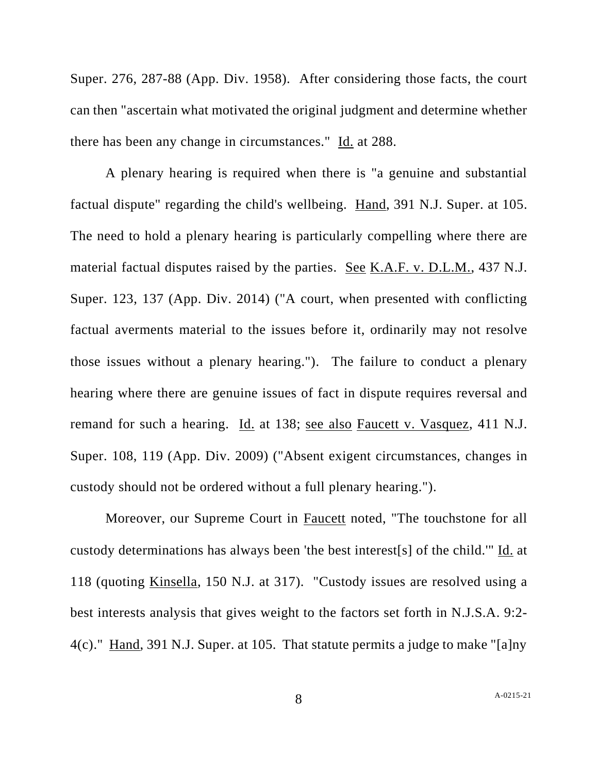Super. 276, [287-88](https://advance.lexis.com/document/teaserdocument/?pdmfid=1000516&crid=81b93f2f-d263-42d8-a981-f44206930250&pdteaserkey=h1&pditab=allpods&pddocfullpath=%2Fshared%2Fdocument%2Fcases%2Furn%3AcontentItem%3A5PWP-Y8M1-JPGX-S321-00000-00&ecomp=qzgpk&earg=sr0&prid=6284348a-8010-422a-8845-5055be576241) (App. Div. 1958). After considering those facts, the court can then "ascertain what motivated the original judgment and determine whether there has been any change in circumstances." Id. at [288.](https://advance.lexis.com/document/teaserdocument/?pdmfid=1000516&crid=81b93f2f-d263-42d8-a981-f44206930250&pdteaserkey=h1&pditab=allpods&pddocfullpath=%2Fshared%2Fdocument%2Fcases%2Furn%3AcontentItem%3A5PWP-Y8M1-JPGX-S321-00000-00&ecomp=qzgpk&earg=sr0&prid=6284348a-8010-422a-8845-5055be576241)

A plenary hearing is required when there is "a genuine and substantial factual dispute" regarding the child's wellbeing. Hand, 391 N.J. [Super.](https://advance.lexis.com/document/teaserdocument/?pdmfid=1000516&crid=81b93f2f-d263-42d8-a981-f44206930250&pdteaserkey=h1&pditab=allpods&pddocfullpath=%2Fshared%2Fdocument%2Fcases%2Furn%3AcontentItem%3A5PWP-Y8M1-JPGX-S321-00000-00&ecomp=qzgpk&earg=sr0&prid=6284348a-8010-422a-8845-5055be576241) at 105. The need to hold a plenary hearing is particularly compelling where there are material factual disputes raised by the parties. See K.A.F. v. [D.L.M.,](https://advance.lexis.com/document/teaserdocument/?pdmfid=1000516&crid=81b93f2f-d263-42d8-a981-f44206930250&pdteaserkey=h1&pditab=allpods&pddocfullpath=%2Fshared%2Fdocument%2Fcases%2Furn%3AcontentItem%3A5PWP-Y8M1-JPGX-S321-00000-00&ecomp=qzgpk&earg=sr0&prid=6284348a-8010-422a-8845-5055be576241) 437 N.J. [Super.](https://advance.lexis.com/document/teaserdocument/?pdmfid=1000516&crid=81b93f2f-d263-42d8-a981-f44206930250&pdteaserkey=h1&pditab=allpods&pddocfullpath=%2Fshared%2Fdocument%2Fcases%2Furn%3AcontentItem%3A5PWP-Y8M1-JPGX-S321-00000-00&ecomp=qzgpk&earg=sr0&prid=6284348a-8010-422a-8845-5055be576241) 123, 137 (App. Div. 2014) ("A court, when presented with conflicting factual averments material to the issues before it, ordinarily may not resolve those issues without a plenary hearing."). The failure to conduct a plenary hearing where there are genuine issues of fact in dispute requires reversal and remand for such a hearing. Id. at [138;](https://advance.lexis.com/document/teaserdocument/?pdmfid=1000516&crid=81b93f2f-d263-42d8-a981-f44206930250&pdteaserkey=h1&pditab=allpods&pddocfullpath=%2Fshared%2Fdocument%2Fcases%2Furn%3AcontentItem%3A5PWP-Y8M1-JPGX-S321-00000-00&ecomp=qzgpk&earg=sr0&prid=6284348a-8010-422a-8845-5055be576241) see also Faucett v. [Vasquez,](https://advance.lexis.com/document/teaserdocument/?pdmfid=1000516&crid=81b93f2f-d263-42d8-a981-f44206930250&pdteaserkey=h1&pditab=allpods&pddocfullpath=%2Fshared%2Fdocument%2Fcases%2Furn%3AcontentItem%3A5PWP-Y8M1-JPGX-S321-00000-00&ecomp=qzgpk&earg=sr0&prid=6284348a-8010-422a-8845-5055be576241) 411 N.J. [Super.](https://advance.lexis.com/document/teaserdocument/?pdmfid=1000516&crid=81b93f2f-d263-42d8-a981-f44206930250&pdteaserkey=h1&pditab=allpods&pddocfullpath=%2Fshared%2Fdocument%2Fcases%2Furn%3AcontentItem%3A5PWP-Y8M1-JPGX-S321-00000-00&ecomp=qzgpk&earg=sr0&prid=6284348a-8010-422a-8845-5055be576241) 108, 119 (App. Div. 2009) ("Absent exigent circumstances, changes in custody should not be ordered without a full plenary hearing.").

Moreover, our Supreme Court in Faucett noted, "The touchstone for all custody determinations has always been 'the best interest[s] of the child.'" Id. at 118 (quoting Kinsella, 150 N.J. at 317). "Custody issues are resolved using a best interests analysis that gives weight to the factors set forth in [N.J.S.A.](https://advance.lexis.com/search/?pdmfid=1000516&crid=f0beb010-363d-4d86-8ad2-5e118d542e36&pdsearchterms=Faucett+v.+Vasquez%2C+411+N.J.+Super.+108&pdtypeofsearch=searchboxclick&pdsearchtype=SearchBox&pdstartin=&pdpsf=&pdqttype=and&pdquerytemplateid=urn%3Aquerytemplate%3Ad57af7921baf7daf430b65b52c003dc5~%5ENJ&pdsf=&pdsourcetype=all&ecomp=8br5kkk&earg=pdsf&prid=f854b44d-3a9a-4632-b5d4-e07888c51d1b) 9:2- [4\(c\).](https://advance.lexis.com/search/?pdmfid=1000516&crid=f0beb010-363d-4d86-8ad2-5e118d542e36&pdsearchterms=Faucett+v.+Vasquez%2C+411+N.J.+Super.+108&pdtypeofsearch=searchboxclick&pdsearchtype=SearchBox&pdstartin=&pdpsf=&pdqttype=and&pdquerytemplateid=urn%3Aquerytemplate%3Ad57af7921baf7daf430b65b52c003dc5~%5ENJ&pdsf=&pdsourcetype=all&ecomp=8br5kkk&earg=pdsf&prid=f854b44d-3a9a-4632-b5d4-e07888c51d1b)" Hand, 391 N.J. [Super.](https://advance.lexis.com/search/?pdmfid=1000516&crid=f0beb010-363d-4d86-8ad2-5e118d542e36&pdsearchterms=Faucett+v.+Vasquez%2C+411+N.J.+Super.+108&pdtypeofsearch=searchboxclick&pdsearchtype=SearchBox&pdstartin=&pdpsf=&pdqttype=and&pdquerytemplateid=urn%3Aquerytemplate%3Ad57af7921baf7daf430b65b52c003dc5~%5ENJ&pdsf=&pdsourcetype=all&ecomp=8br5kkk&earg=pdsf&prid=f854b44d-3a9a-4632-b5d4-e07888c51d1b) at 105. That statute permits a judge to make "[a]ny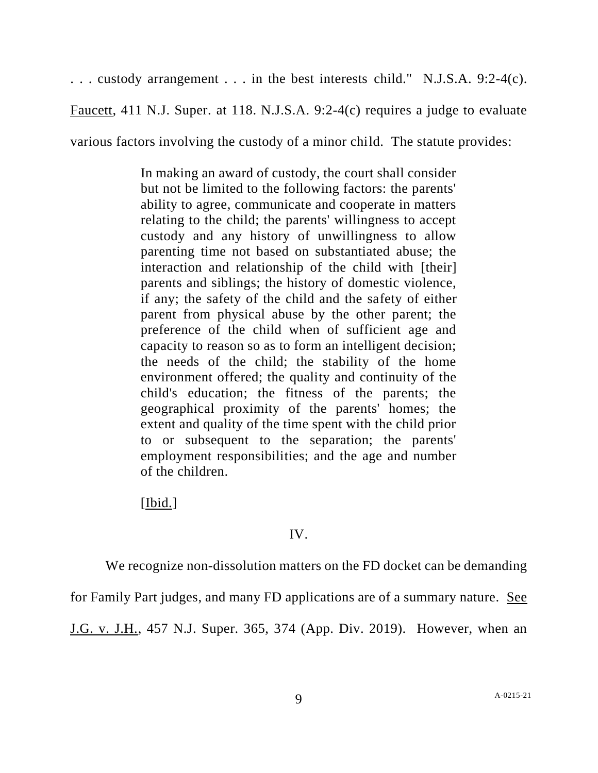. . . custody arrangement . . . in the best interests child." [N.J.S.A.](https://advance.lexis.com/search/?pdmfid=1000516&crid=f0beb010-363d-4d86-8ad2-5e118d542e36&pdsearchterms=Faucett+v.+Vasquez%2C+411+N.J.+Super.+108&pdtypeofsearch=searchboxclick&pdsearchtype=SearchBox&pdstartin=&pdpsf=&pdqttype=and&pdquerytemplateid=urn%3Aquerytemplate%3Ad57af7921baf7daf430b65b52c003dc5~%5ENJ&pdsf=&pdsourcetype=all&ecomp=8br5kkk&earg=pdsf&prid=f854b44d-3a9a-4632-b5d4-e07888c51d1b) 9:2-4(c).

Faucett, 411 N.J. Super. at 118. [N.J.S.A.](https://advance.lexis.com/search/?pdmfid=1000516&crid=f0beb010-363d-4d86-8ad2-5e118d542e36&pdsearchterms=Faucett+v.+Vasquez%2C+411+N.J.+Super.+108&pdtypeofsearch=searchboxclick&pdsearchtype=SearchBox&pdstartin=&pdpsf=&pdqttype=and&pdquerytemplateid=urn%3Aquerytemplate%3Ad57af7921baf7daf430b65b52c003dc5~%5ENJ&pdsf=&pdsourcetype=all&ecomp=8br5kkk&earg=pdsf&prid=f854b44d-3a9a-4632-b5d4-e07888c51d1b) 9:2-4(c) requires a judge to evaluate

various factors involving the custody of a minor child. The statute provides:

In making an award of custody, the court shall consider but not be limited to the following factors: the parents' ability to agree, communicate and cooperate in matters relating to the child; the parents' willingness to accept custody and any history of unwillingness to allow parenting time not based on substantiated abuse; the interaction and relationship of the child with [their] parents and siblings; the history of domestic violence, if any; the safety of the child and the safety of either parent from physical abuse by the other parent; the preference of the child when of sufficient age and capacity to reason so as to form an intelligent decision; the needs of the child; the stability of the home environment offered; the quality and continuity of the child's education; the fitness of the parents; the geographical proximity of the parents' homes; the extent and quality of the time spent with the child prior to or subsequent to the separation; the parents' employment responsibilities; and the age and number of the children.

[Ibid.]

## IV.

We recognize non-dissolution matters on the FD docket can be demanding

for Family Part judges, and many FD applications are of a summary nature. See

J.G. v. J.H., 457 N.J. Super. 365, 374 (App. Div. 2019). However, when an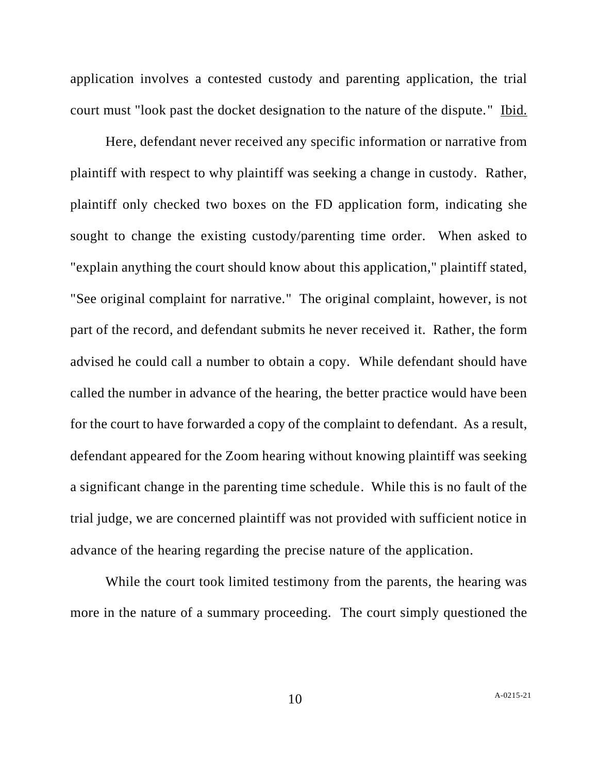application involves a contested custody and parenting application, the trial court must "look past the docket designation to the nature of the dispute." Ibid.

Here, defendant never received any specific information or narrative from plaintiff with respect to why plaintiff was seeking a change in custody. Rather, plaintiff only checked two boxes on the FD application form, indicating she sought to change the existing custody/parenting time order. When asked to "explain anything the court should know about this application," plaintiff stated, "See original complaint for narrative." The original complaint, however, is not part of the record, and defendant submits he never received it. Rather, the form advised he could call a number to obtain a copy. While defendant should have called the number in advance of the hearing, the better practice would have been for the court to have forwarded a copy of the complaint to defendant. As a result, defendant appeared for the Zoom hearing without knowing plaintiff was seeking a significant change in the parenting time schedule. While this is no fault of the trial judge, we are concerned plaintiff was not provided with sufficient notice in advance of the hearing regarding the precise nature of the application.

While the court took limited testimony from the parents, the hearing was more in the nature of a summary proceeding. The court simply questioned the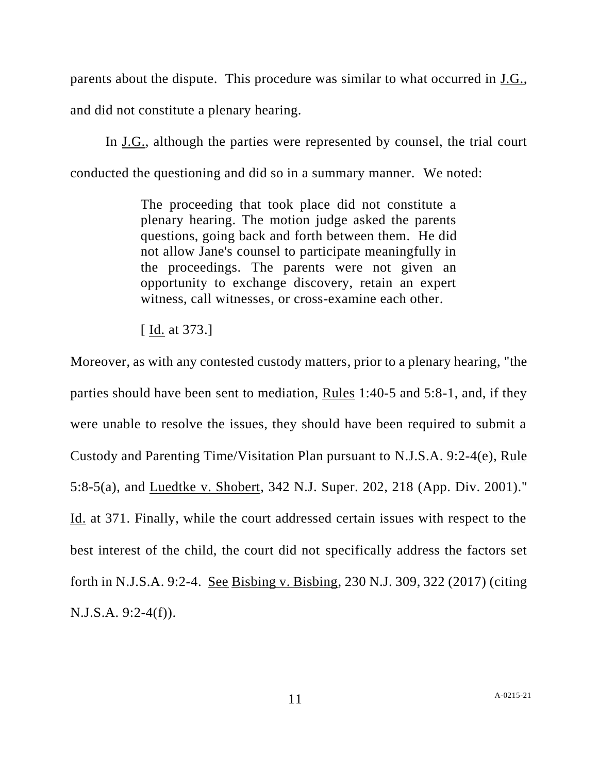parents about the dispute. This procedure was similar to what occurred in J.G., and did not constitute a plenary hearing.

In J.G., although the parties were represented by counsel, the trial court conducted the questioning and did so in a summary manner. We noted:

> The proceeding that took place did not constitute a plenary hearing. The motion judge asked the parents questions, going back and forth between them. He did not allow Jane's counsel to participate meaningfully in the proceedings. The parents were not given an opportunity to exchange discovery, retain an expert witness, call witnesses, or cross-examine each other.

[ Id. at 373.]

Moreover, as with any contested custody matters, prior to a plenary hearing, "the parties should have been sent to mediation, Rules [1:40-5](https://advance.lexis.com/document/searchwithindocument/?pdmfid=1000516&crid=fab0dceb-3c99-4069-936e-a7850a884fe4&pdsearchwithinterm=forth&pdworkfolderlocatorid=NOT_SAVED_IN_WORKFOLDER&ecomp=4s9nk&prid=713e4dde-3a12-40de-bc8d-4af12ebc1e80) and [5:8-1,](https://advance.lexis.com/document/searchwithindocument/?pdmfid=1000516&crid=fab0dceb-3c99-4069-936e-a7850a884fe4&pdsearchwithinterm=forth&pdworkfolderlocatorid=NOT_SAVED_IN_WORKFOLDER&ecomp=4s9nk&prid=713e4dde-3a12-40de-bc8d-4af12ebc1e80) and, if they were unable to resolve the issues, they should have been required to submit a Custody and Parenting Time/Visitation Plan pursuant to [N.J.S.A.](https://advance.lexis.com/document/searchwithindocument/?pdmfid=1000516&crid=fab0dceb-3c99-4069-936e-a7850a884fe4&pdsearchwithinterm=forth&pdworkfolderlocatorid=NOT_SAVED_IN_WORKFOLDER&ecomp=4s9nk&prid=713e4dde-3a12-40de-bc8d-4af12ebc1e80) 9:2-4(e), [Rule](https://advance.lexis.com/document/searchwithindocument/?pdmfid=1000516&crid=fab0dceb-3c99-4069-936e-a7850a884fe4&pdsearchwithinterm=forth&pdworkfolderlocatorid=NOT_SAVED_IN_WORKFOLDER&ecomp=4s9nk&prid=713e4dde-3a12-40de-bc8d-4af12ebc1e80) [5:8-5\(a\),](https://advance.lexis.com/document/searchwithindocument/?pdmfid=1000516&crid=fab0dceb-3c99-4069-936e-a7850a884fe4&pdsearchwithinterm=forth&pdworkfolderlocatorid=NOT_SAVED_IN_WORKFOLDER&ecomp=4s9nk&prid=713e4dde-3a12-40de-bc8d-4af12ebc1e80) and Luedtke v. [Shobert,](https://advance.lexis.com/document/searchwithindocument/?pdmfid=1000516&crid=fab0dceb-3c99-4069-936e-a7850a884fe4&pdsearchwithinterm=forth&pdworkfolderlocatorid=NOT_SAVED_IN_WORKFOLDER&ecomp=4s9nk&prid=713e4dde-3a12-40de-bc8d-4af12ebc1e80) 342 N.J. Super. 202, 218 (App. Div. 2001)." Id. at 371. Finally, while the court addressed certain issues with respect to the best interest of the child, the court did not specifically address the factors set forth in [N.J.S.A.](https://advance.lexis.com/document/teaserdocument/?pdmfid=1000516&crid=81b93f2f-d263-42d8-a981-f44206930250&pdteaserkey=h1&pditab=allpods&pddocfullpath=%2Fshared%2Fdocument%2Fcases%2Furn%3AcontentItem%3A5PWP-Y8M1-JPGX-S321-00000-00&ecomp=qzgpk&earg=sr0&prid=6284348a-8010-422a-8845-5055be576241) 9:2-4. See Bisbing v. [Bisbing,](https://advance.lexis.com/document/documentlink/?pdmfid=1000516&crid=b8a1ea6a-1785-4866-898d-a6772bfcce20&pddocfullpath=%2Fshared%2Fdocument%2Fcases%2Furn%3AcontentItem%3A5P6H-JB11-F04H-V007-00000-00&pdpinpoint=PAGE_322_3300&pdcontentcomponentid=9073&pddoctitle=Bisbing+v.+Bisbing%2C+230+N.J.+309%2C+322%2C+166+A.3d+1155+(2017)&pdproductcontenttypeid=urn%3Apct%3A30&pdiskwicview=false&ecomp=4s9nk&prid=fab0dceb-3c99-4069-936e-a7850a884fe4) 230 N.J. 309, 322 (2017) (citing [N.J.S.A.](https://advance.lexis.com/document/searchwithindocument/?pdmfid=1000516&crid=fab0dceb-3c99-4069-936e-a7850a884fe4&pdsearchwithinterm=forth&pdworkfolderlocatorid=NOT_SAVED_IN_WORKFOLDER&ecomp=4s9nk&prid=713e4dde-3a12-40de-bc8d-4af12ebc1e80) 9:2-4(f)).